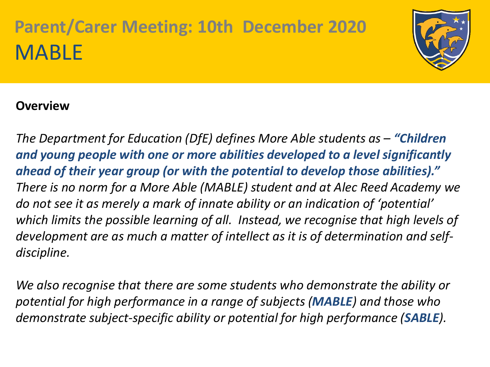

#### **Overview**

*The Department for Education (DfE) defines More Able students as - "Children and young people with one or more abilities developed to a level significantly ahead of their year group (or with the potential to develop those abilities)." There is no norm for a More Able (MABLE) student and at Alec Reed Academy we do not see it as merely a mark of innate ability or an indication of 'potential' which limits the possible learning of all. Instead, we recognise that high levels of development are as much a matter of intellect as it is of determination and selfdiscipline.*

*We also recognise that there are some students who demonstrate the ability or potential for high performance in a range of subjects (MABLE) and those who demonstrate subject-specific ability or potential for high performance (SABLE).*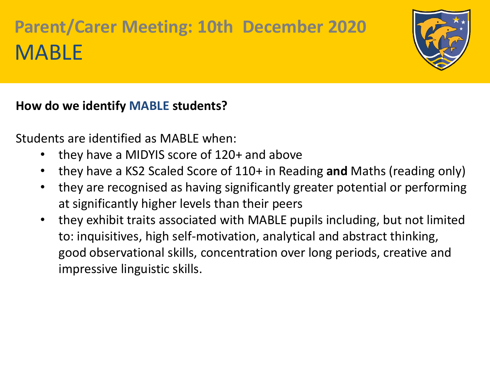

### **How do we identify MABLE students?**

Students are identified as MABLE when:

- they have a MIDYIS score of 120+ and above
- they have a KS2 Scaled Score of 110+ in Reading **and** Maths (reading only)
- they are recognised as having significantly greater potential or performing at significantly higher levels than their peers
- they exhibit traits associated with MABLE pupils including, but not limited to: inquisitives, high self-motivation, analytical and abstract thinking, good observational skills, concentration over long periods, creative and impressive linguistic skills.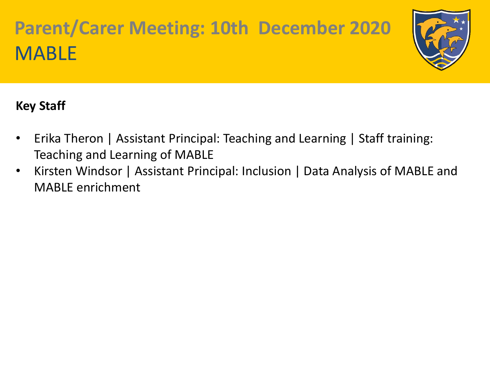

### **Key Staff**

- Erika Theron | Assistant Principal: Teaching and Learning | Staff training: Teaching and Learning of MABLE
- Kirsten Windsor | Assistant Principal: Inclusion | Data Analysis of MABLE and MABLE enrichment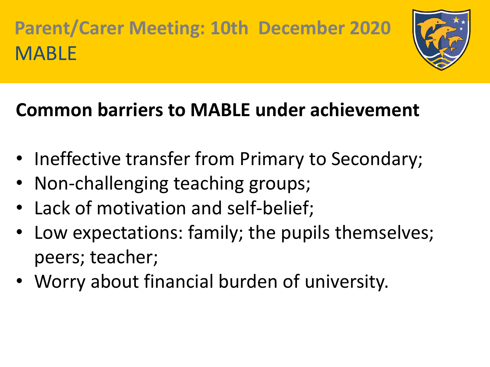

### **Common barriers to MABLE under achievement**

- Ineffective transfer from Primary to Secondary;
- Non-challenging teaching groups;
- Lack of motivation and self-belief;
- Low expectations: family; the pupils themselves; peers; teacher;
- Worry about financial burden of university.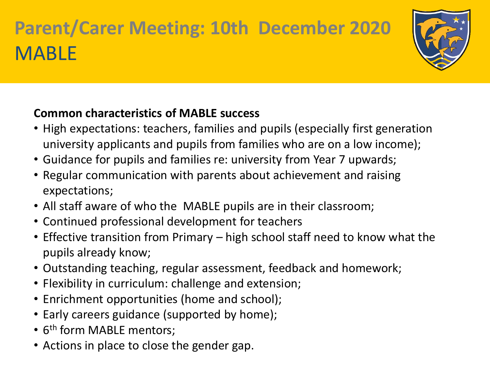

### **Common characteristics of MABLE success**

- High expectations: teachers, families and pupils (especially first generation university applicants and pupils from families who are on a low income);
- Guidance for pupils and families re: university from Year 7 upwards;
- Regular communication with parents about achievement and raising expectations;
- All staff aware of who the MABLE pupils are in their classroom;
- Continued professional development for teachers
- Effective transition from Primary high school staff need to know what the pupils already know;
- Outstanding teaching, regular assessment, feedback and homework;
- Flexibility in curriculum: challenge and extension;
- Enrichment opportunities (home and school);
- Early careers guidance (supported by home);
- 6<sup>th</sup> form MABLE mentors;
- Actions in place to close the gender gap.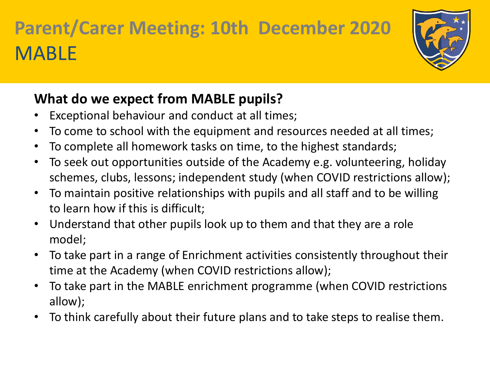

### **What do we expect from MABLE pupils?**

- Exceptional behaviour and conduct at all times;
- To come to school with the equipment and resources needed at all times;
- To complete all homework tasks on time, to the highest standards;
- To seek out opportunities outside of the Academy e.g. volunteering, holiday schemes, clubs, lessons; independent study (when COVID restrictions allow);
- To maintain positive relationships with pupils and all staff and to be willing to learn how if this is difficult;
- Understand that other pupils look up to them and that they are a role model;
- To take part in a range of Enrichment activities consistently throughout their time at the Academy (when COVID restrictions allow);
- To take part in the MABLE enrichment programme (when COVID restrictions allow);
- To think carefully about their future plans and to take steps to realise them.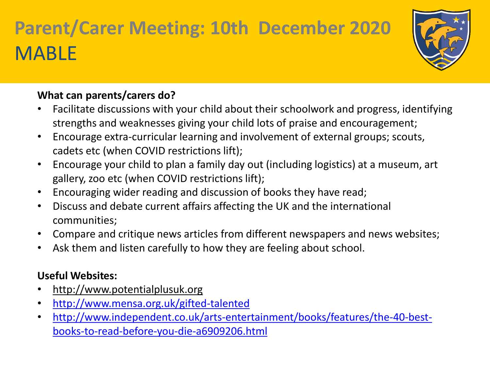

#### **What can parents/carers do?**

- Facilitate discussions with your child about their schoolwork and progress, identifying strengths and weaknesses giving your child lots of praise and encouragement;
- Encourage extra-curricular learning and involvement of external groups; scouts, cadets etc (when COVID restrictions lift);
- Encourage your child to plan a family day out (including logistics) at a museum, art gallery, zoo etc (when COVID restrictions lift);
- Encouraging wider reading and discussion of books they have read;
- Discuss and debate current affairs affecting the UK and the international communities;
- Compare and critique news articles from different newspapers and news websites;
- Ask them and listen carefully to how they are feeling about school.

#### **Useful Websites:**

- http://www.potentialplusuk.org
- <http://www.mensa.org.uk/gifted-talented>
- [http://www.independent.co.uk/arts-entertainment/books/features/the-40-best](http://www.independent.co.uk/arts-entertainment/books/features/the-40-best-books-to-read-before-you-die-a6909206.html)books-to-read-before-you-die-a6909206.html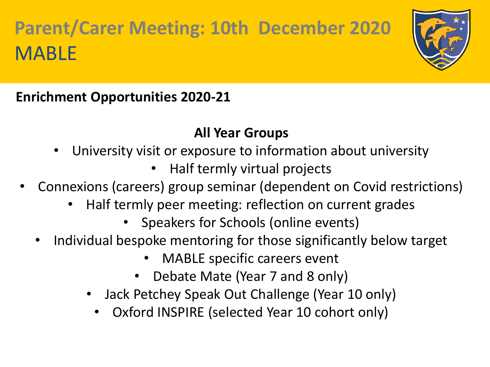

**Enrichment Opportunities 2020-21**

### **All Year Groups**

- University visit or exposure to information about university
	- Half termly virtual projects
- Connexions (careers) group seminar (dependent on Covid restrictions)
	- Half termly peer meeting: reflection on current grades
		- Speakers for Schools (online events)
	- Individual bespoke mentoring for those significantly below target
		- MABLE specific careers event
		- Debate Mate (Year 7 and 8 only)
		- Jack Petchey Speak Out Challenge (Year 10 only)
			- Oxford INSPIRE (selected Year 10 cohort only)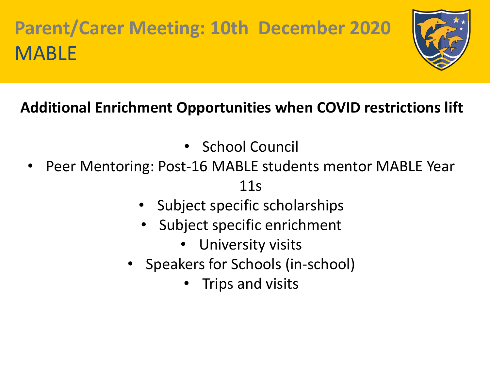

### **Additional Enrichment Opportunities when COVID restrictions lift**

- School Council
- Peer Mentoring: Post-16 MABLE students mentor MABLE Year

11s

- Subject specific scholarships
- Subject specific enrichment
	- University visits
- Speakers for Schools (in-school)
	- Trips and visits